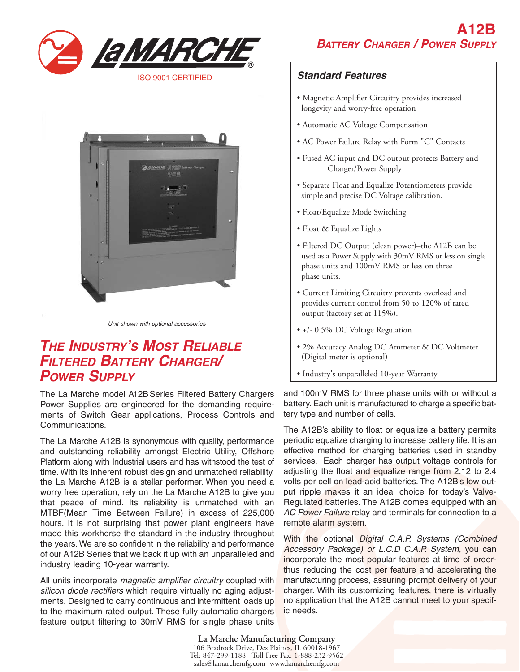



Unit shown with optional accessories

# **THE INDUSTRY'S MOST RELIABLE FILTERED BATTERY CHARGER/ POWER SUPPLY**

The La Marche model A12B Series Filtered Battery Chargers Power Supplies are engineered for the demanding requirements of Switch Gear applications, Process Controls and Communications.

The La Marche A12B is synonymous with quality, performance and outstanding reliability amongst Electric Utility, Offshore Platform along with Industrial users and has withstood the test of time. With its inherent robust design and unmatched reliability, the La Marche A12B is a stellar performer. When you need a worry free operation, rely on the La Marche A12B to give you that peace of mind. Its reliability is unmatched with an MTBF(Mean Time Between Failure) in excess of 225,000 hours. It is not surprising that power plant engineers have made this workhorse the standard in the industry throughout the years. We are so confident in the reliability and performance of our A12B Series that we back it up with an unparalleled and industry leading 10-year warranty.

All units incorporate *magnetic amplifier circuitry* coupled with silicon diode rectifiers which require virtually no aging adjustments. Designed to carry continuous and intermittent loads up to the maximum rated output. These fully automatic chargers feature output filtering to 30mV RMS for single phase units

### **Standard Features**

- Magnetic Amplifier Circuitry provides increased longevity and worry-free operation
- Automatic AC Voltage Compensation
- AC Power Failure Relay with Form "C" Contacts
- Fused AC input and DC output protects Battery and Charger/Power Supply
- Separate Float and Equalize Potentiometers provide simple and precise DC Voltage calibration.
- Float/Equalize Mode Switching
- Float & Equalize Lights
- Filtered DC Output (clean power)–the A12B can be used as a Power Supply with 30mV RMS or less on single phase units and 100mV RMS or less on three phase units.
- Current Limiting Circuitry prevents overload and provides current control from 50 to 120% of rated output (factory set at 115%).
- +/- 0.5% DC Voltage Regulation
- 2% Accuracy Analog DC Ammeter & DC Voltmeter (Digital meter is optional)
- Industry's unparalleled 10-year Warranty

and 100mV RMS for three phase units with or without a battery. Each unit is manufactured to charge a specific battery type and number of cells.

The A12B's ability to float or equalize a battery permits periodic equalize charging to increase battery life. It is an effective method for charging batteries used in standby services. Each charger has output voltage controls for adjusting the float and equalize range from 2.12 to 2.4 volts per cell on lead-acid batteries. The A12B's low output ripple makes it an ideal choice for today's Valve-Regulated batteries. The A12B comes equipped with an AC Power Failure relay and terminals for connection to a remote alarm system.

With the optional Digital C.A.P. Systems (Combined Accessory Package) or L.C.D C.A.P. System, you can incorporate the most popular features at time of orderthus reducing the cost per feature and accelerating the manufacturing process, assuring prompt delivery of your charger. With its customizing features, there is virtually no application that the A12B cannot meet to your specific needs.

**La Marche Manufacturing Company** 106 Bradrock Drive, Des Plaines, IL 60018-1967 Tel: 847-299-1188 Toll Free Fax: 1-888-232-9562 sales@lamarchemfg.com www.lamarchemfg.com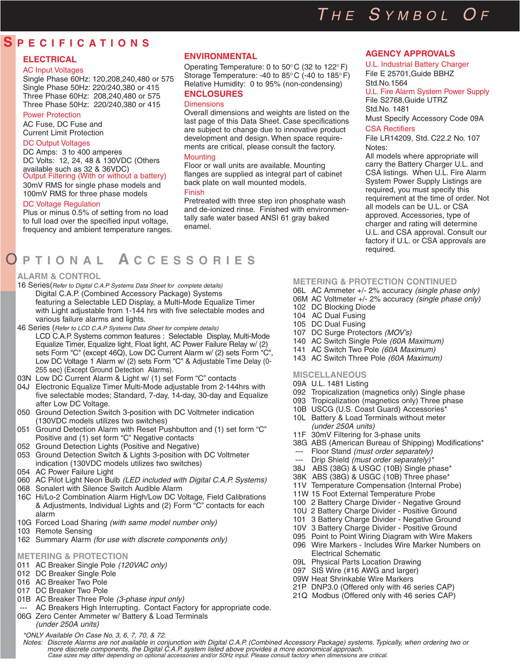# THE SYMBOL OF

**AGENCY APPROVALS** U.L. Industrial Battery Charger File E 25701,Guide BBHZ

File S2768,Guide UTRZ

U.L. Fire Alarm System Power Supply

Must Specify Accessory Code 09A

File LR14209, Std. C22.2 No. 107

All models where appropriate will carry the Battery Charger U.L. and CSA listings. When U.L. Fire Alarm System Power Supply Listings are required, you must specify this requirement at the time of order. Not all models can be U.L. or CSA approved. Accessories, type of charger and rating will determine U.L. and CSA approval. Consult our factory if U.L. or CSA approvals are

Std.No.1564

Std.No. 1481

CSA Rectifiers

Notes:

## **S PECIFICATIONS**

#### **ELECTRICAL**

#### AC Input Voltages

Single Phase 60Hz: 120,208,240,480 or 575 Single Phase 50Hz: 220/240,380 or 415 Three Phase 60Hz: 208,240,480 or 575 Three Phase 50Hz: 220/240,380 or 415

#### Power Protection

AC Fuse, DC Fuse and Current Limit Protection

#### DC Output Voltages

DC Amps: 3 to 400 amperes DC Volts: 12, 24, 48 & 130VDC (Others available such as 32 & 36VDC) Output Filtering (With or without a battery)

30mV RMS for single phase models and 100mV RMS for three phase models

#### DC Voltage Regulation

Plus or minus 0.5% of setting from no load to full load over the specified input voltage, frequency and ambient temperature ranges.

## O **PTIONAL A CCESSORIES**

#### **ALARM & CONTROL**

- 16 Series(Refer to Digital C.A.P Systems Data Sheet for complete details) Digital C.A.P. (Combined Accessory Package) Systems featuring a Selectable LED Display, a Multi-Mode Equalize Timer with Light adjustable from 1-144 hrs with five selectable modes and various failure alarms and lights.
- 46 Series (Refer to LCD C.A.P Systems Data Sheet for complete details) LCD C.A.P. Systems common features : Selectable Display, Multi-Mode Equalize Timer, Equalize light, Float light, AC Power Failure Relay w/ (2) sets Form "C" (except 46Q), Low DC Current Alarm w/ (2) sets Form "C", Low DC Voltage 1 Alarm w/ (2) sets Form "C" & Adjustable Time Delay (0- 255 sec) (Except Ground Detection Alarms).
- 03N Low DC Current Alarm & Light w/ (1) set Form "C" contacts
- 04J Electronic Equalize Timer Multi-Mode adjustable from 2-144hrs with five selectable modes; Standard, 7-day, 14-day, 30-day and Equalize after Low DC Voltage.
- 050 Ground Detection Switch 3-position with DC Voltmeter indication (130VDC models utilizes two switches)
- 051 Ground Detection Alarm with Reset Pushbutton and (1) set form "C" Positive and (1) set form "C" Negative contacts
- 052 Ground Detection Lights (Positive and Negative)
- 053 Ground Detection Switch & Lights 3-position with DC Voltmeter indication (130VDC models utilizes two switches)
- 054 AC Power Failure Light
- 060 AC Pilot Light Neon Bulb (LED included with Digital C.A.P. Systems)
- 068 Sonalert with Silence Switch Audible Alarm
- 16C Hi/Lo-2 Combination Alarm High/Low DC Voltage, Field Calibrations & Adjustments, Individual Lights and (2) Form "C" contacts for each alarm
- 10G Forced Load Sharing (with same model number only)
- 103 Remote Sensing
- 162 Summary Alarm (for use with discrete components only)

#### **METERING & PROTECTION**

- 011 AC Breaker Single Pole (120VAC only)
- 012 DC Breaker Single Pole
- 016 AC Breaker Two Pole
- 017 DC Breaker Two Pole
- 01B AC Breaker Three Pole (3-phase input only)
- AC Breakers High Interrupting. Contact Factory for appropriate code. 06G Zero Center Ammeter w/ Battery & Load Terminals (under 250A units)

#### **ENVIRONMENTAL**

Operating Temperature: 0 to  $50^{\circ}$ C (32 to 122 $^{\circ}$ F) Storage Temperature: -40 to  $85^{\circ}$ C (-40 to 185 $^{\circ}$ F) Relative Humidity: 0 to 95% (non-condensing) **ENCLOSURES**

#### **Dimensions**

Overall dimensions and weights are listed on the last page of this Data Sheet. Case specifications are subject to change due to innovative product development and design. When space requirements are critical, please consult the factory.

#### **Mounting**

Floor or wall units are available. Mounting flanges are supplied as integral part of cabinet back plate on wall mounted models.

#### Finish

Pretreated with three step iron phosphate wash and de-ionized rinse. Finished with environmentally safe water based ANSI 61 gray baked enamel.

#### **METERING & PROTECTION CONTINUED**

required.

- 06L AC Ammeter +/- 2% accuracy (single phase only)
- 06M AC Voltmeter +/- 2% accuracy (single phase only)
- 102 DC Blocking Diode
- 104 AC Dual Fusing
- 105 DC Dual Fusing
- 107 DC Surge Protectors (MOV's)
- 140 AC Switch Single Pole (60A Maximum)
- 141 AC Switch Two Pole (60A Maximum)
- 143 AC Switch Three Pole (60A Maximum)

#### **MISCELLANEOUS**

- 09A U.L. 1481 Listing
- 092 Tropicalization (magnetics only) Single phase
- 093 Tropicalization (magnetics only) Three phase
- 10B USCG (U.S. Coast Guard) Accessories\* 10L Battery & Load Terminals without meter
- (under 250A units)
- 11F 30mV Filtering for 3-phase units
- 38G ABS (American Bureau of Shipping) Modifications\*
- --- Floor Stand (must order separately)
- --- Drip Shield (must order separately)
- 38J ABS (38G) & USGC (10B) Single phase\*
- 38K ABS (38G) & USGC (10B) Three phase\*
- 11V Temperature Compensation (Internal Probe)
- 11W 15 Foot External Temperature Probe
- 100 2 Battery Charge Divider Negative Ground
- 10U 2 Battery Charge Divider Positive Ground
- 101 3 Battery Charge Divider Negative Ground
- 10V 3 Battery Charge Divider Positive Ground
- 095 Point to Point Wiring Diagram with Wire Makers
- 096 Wire Markers Includes Wire Marker Numbers on Electrical Schematic
- 09L Physical Parts Location Drawing
- 097 SIS Wire (#16 AWG and larger)
- 09W Heat Shrinkable Wire Markers
- 21P DNP3.0 (Offered only with 46 series CAP)
- 21Q Modbus (Offered only with 46 series CAP)

\*ONLY Available On Case No. 3, 6, 7, 70, & 72. Notes: Discrete Alarms are not available in conjunction with Digital C.A.P. (Combined Accessory Package) systems. Typically, when ordering two or more discrete components, the Digital C.A.P. system listed above provides a more economical approach.

Case sizes may differ depending on optional accessories and/or 50Hz input. Please consult factory when dimensions are critical.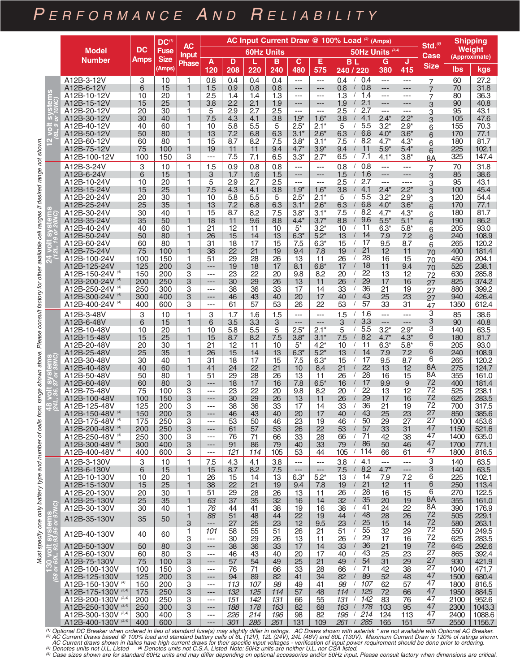# PERFORMANCE AND RELIABILITY

|                                                                                                       |                                            | AC Input Current Draw @ 100% Load (2) (Amps)<br>$DC^{(1)}$<br><b>AC</b> |                       |                   |                     |                |                | Std <sub>1</sub> <sup>(5)</sup> | <b>Shipping</b>                      |                  |                                                         |                             |                  |                |                                |                         |
|-------------------------------------------------------------------------------------------------------|--------------------------------------------|-------------------------------------------------------------------------|-----------------------|-------------------|---------------------|----------------|----------------|---------------------------------|--------------------------------------|------------------|---------------------------------------------------------|-----------------------------|------------------|----------------|--------------------------------|-------------------------|
|                                                                                                       | <b>Model</b>                               | <b>DC</b>                                                               | <b>Fuse</b>           | <b>Input</b>      | <b>60Hz Units</b>   |                |                |                                 |                                      |                  |                                                         | 50Hz Units <sup>(3,4)</sup> |                  | Case           | <b>Weight</b><br>(Approximate) |                         |
|                                                                                                       | <b>Number</b>                              | <b>Amps</b>                                                             | <b>Size</b><br>(Amps) | Phase             | A<br>120            | D<br>208       | L<br>220       | в<br>240                        | $\mathbf{C}$<br>480                  | Е<br>575         | <b>BL</b><br>240 / 220                                  | G<br>380                    | J<br>415         | <b>Size</b>    | lbs                            | kgs                     |
|                                                                                                       | A12B-3-12V                                 | 3                                                                       | 10                    | 1                 | 0.8                 | 0.4            | 0.4            | 0.4                             | $---$                                | $---$            | 0.4<br>0.4<br>$\sqrt{2}$                                | $\sim$ $\sim$               | ---              | 7              | 60                             | 27.2                    |
| $\boldsymbol{\theta}$                                                                                 | A12B-6-12V                                 | 6                                                                       | 15                    | 1                 | 1.5                 | 0.9            | 0.8            | 0.8                             | $---$                                | ---              | 0.8<br>0.8                                              | ---                         | ---              | $\overline{7}$ | 70                             | 31.8                    |
| lā                                                                                                    | A12B-10-12V<br>A12B-15-12V                 | 10<br>15                                                                | 20<br>25              | 1<br>1            | 2.5<br>3.8          | 1.4<br>2.2     | 1.4<br>2.1     | 1.3<br>1.9                      | $---$<br>$---$                       | $---$<br>---     | 1.3<br>1.4<br>2.1<br>1.9                                | $---$<br>---                | $---$<br>---     | 7              | 80<br>90                       | 36.3<br>40.8            |
|                                                                                                       | A12B-20-12V                                | 20                                                                      | 30                    | 1                 | 5                   | 2.9            | 2.7            | 2.5                             | $---$                                | $---$            | 2.7<br>2.5                                              | $---$                       | $---$            | 3<br>З         | 95                             | 43.1                    |
| $\omega$                                                                                              | A12B-30-12V                                | 30                                                                      | 40                    | 1                 | 7.5                 | 4.3            | 4.1            | 3.8                             | $1.9*$                               | $1.6*$           | 4.1<br>3.8                                              | $2.4*$                      | $2.2*$           | 3              | 105                            | 47.6                    |
| O                                                                                                     | A12B-40-12V<br>A12B-50-12V                 | 40<br>50                                                                | 60<br>80              | 1<br>1            | 10<br>13            | 5.8<br>7.2     | 5.5<br>6.8     | 5<br>6.3                        | $2.5*$<br>$3.1*$                     | $2.1*$<br>$2.6*$ | 5.5<br>5<br>6.8<br>6.3                                  | $3.2*$<br>$4.0*$            | $2.9*$<br>$3.6*$ | 6<br>6         | 155<br>170                     | 70.3<br>77.1            |
| ŝ                                                                                                     | A12B-60-12V                                | 60                                                                      | 80                    | 1                 | 15                  | 8.7            | 8.2            | 7.5                             | $3.8*$                               | $3.1*$           | 8.2<br>7.5                                              | $4.7^*$                     | $4.3*$           | 6              | 180                            | 81.7                    |
|                                                                                                       | A12B-75-12V<br>A12B-100-12V                | 75<br>100                                                               | 100<br>150            | 1<br>3            | 19<br>---           | 11<br>7.5      | 11<br>7.1      | 9.4<br>6.5                      | $4.7*$<br>$3.3*$                     | $3.9*$<br>$2.7*$ | 11<br>9.4<br>6.5<br>7.1                                 | $5.9*$<br>$4.1*$            | $5.4*$<br>$3.8*$ | 6<br>8A        | 225<br>325                     | 102.1<br>147.4          |
|                                                                                                       | A12B-3-24V                                 | 3                                                                       | 10                    | 1                 | 1.5                 | 0.9            | 0.8            | 0.8                             | $\overline{a}$                       | $---$            | 0.8<br>0.8                                              | $\overline{a}$              | ---              | $\overline{7}$ | 70                             | 31.8                    |
|                                                                                                       | A12B-6-24V                                 | 6                                                                       | 15                    | 1                 | 3                   | 1.7            | 1.6            | 1.5                             | $\cdots$                             | ---              | 1.6<br>1.5                                              | ---                         | ---              | 3              | 85                             | 38.6                    |
|                                                                                                       | A12B-10-24V<br>A12B-15-24V                 | 10<br>15                                                                | 20<br>25              | 1<br>1            | 5<br>7.5            | 2.9<br>4.3     | 2.7<br>4.1     | 2.5<br>3.8                      | $\sim$ $\sim$<br>$1.9*$              | $---$<br>$1.6*$  | 2.5<br>2.7<br>4.1<br>3.8                                | $---$<br>$2.4*$             | ----<br>$2.2*$   | З<br>3         | 95<br>100                      | 43.1<br>45.4            |
|                                                                                                       | A12B-20-24V                                | 20                                                                      | 30                    | 1                 | 10                  | 5.8            | 5.5            | 5                               | $2.5*$                               | $2.1*$           | 5.5<br>5                                                | $3.2*$                      | $2.9*$           | 3              | 120                            | 54.4                    |
|                                                                                                       | A12B-25-24V<br>A12B-30-24V                 | 25<br>30                                                                | 35<br>40              | 1<br>1            | 13<br>15            | 7.2<br>8.7     | 6.8<br>8.2     | 6.3<br>7.5                      | $3.1*$<br>$3.8*$                     | $2.6*$<br>$3.1*$ | 6.8<br>6.3<br>8.2<br>7.5<br>$\sqrt{2}$                  | $4.0*$<br>$4.7^*$           | $3.6*$<br>$4.3*$ | 6              | 170<br>180                     | 77.1<br>81.7            |
| $\overline{\mathbf{0}}$                                                                               | A12B-35-24V                                | 35                                                                      | 50                    | 1                 | 18                  | 11             | 9.6            | 8.8                             | $4.4*$                               | $3.7*$           | 8.8<br>9.6<br>$\sqrt{2}$                                | $5.5*$                      | $5.1*$           | 6<br>6         | 190                            | 86.2                    |
| $\overline{0}$                                                                                        | A12B-40-24V                                | 40                                                                      | 60                    | 1                 | 21                  | 12             | 11             | 10                              | $5^*$                                | $3.2*$           | 11<br>10<br>$\sqrt{2}$                                  | $6.3*$                      | $5.8*$           | 6              | 205                            | 93.0                    |
| <u>໌</u> ທີ່                                                                                          | A12B-50-24V<br>A12B-60-24V                 | 50<br>60                                                                | 80<br>80              | 1<br>1            | 26<br>31            | 15<br>18       | 14<br>17       | 13<br>15                        | $6.3*$<br>7.5                        | $5.2*$<br>$6.3*$ | 13<br>14<br>15<br>17<br>$\sqrt{2}$                      | 7.9<br>9.5                  | 7.2<br>8.7       | 6<br>6         | 240<br>265                     | 108.9<br>120.2          |
| $\overline{S}$                                                                                        | A12B-75-24V                                | 75                                                                      | 100                   | 1                 | 38                  | 22             | 21             | 19                              | 9.4                                  | 7.8              | 21<br>19                                                | 12                          | 11               | 70             | 400                            | 181.4                   |
|                                                                                                       | A12B-100-24V<br>A12B-125-24V               | 100<br>125                                                              | 150<br>200            | 1<br>3            | 51<br>---           | 29<br>19       | 28<br>18       | 26<br>17                        | 13<br>8.1                            | 11<br>$6.8*$     | 28<br>26<br>18<br>17                                    | 16<br>11                    | 15<br>9.4        | 70<br>70       | 450<br>525                     | 204.1<br>238.1          |
|                                                                                                       | A12B-150-24V (4)                           | 150                                                                     | 200                   | 3                 | $\overline{a}$      | 23             | 22             | 20                              | 9.8                                  | 8.2              | 22<br>20                                                | 13                          | 12               | 72             | 630                            | 285.8                   |
|                                                                                                       | A12B-200-24V (4)<br>A12B-250-24V (4)       | 200<br>250                                                              | 250<br>300            | 3<br>3            | $---$<br>$---$      | 30<br>38       | 29<br>36       | 26<br>33                        | 13<br>17                             | 11<br>14         | 29<br>26<br>36<br>33                                    | 17<br>21                    | 16<br>19         | 27             | 825<br>880                     | 374.2<br>399.2          |
|                                                                                                       | A12B-300-24V (4)                           | 300                                                                     | 400                   | 3                 | ---                 | 46             | 43             | 40                              | 20                                   | 17               | 43<br>40                                                | 25                          | 23               | 27<br>27       | 940                            | 426.4                   |
|                                                                                                       | A12B-400-24V <sup>(4)</sup>                | 400                                                                     | 600                   | 3                 | ---                 | 61             | 57             | 53                              | 26                                   | 22               | 53<br>57                                                | 33                          | 31               | 47             | 1350                           | 612.4                   |
| range shown above. Please consult factory for other available cell ranges if desired range not shown. | A12B-3-48V<br>A12B-6-48V                   | 3<br>6                                                                  | 10<br>15              | 1<br>1            | 3<br>6              | 1.7<br>3.5     | 1.6<br>3.3     | 1.5<br>3                        | $\overline{a}$<br>$---$              | ---<br>$---$     | 1.6<br>1.5<br>3.3<br>3                                  | $---$<br>$---$              | $---$<br>---     | 3<br>З         | 85<br>90                       | 38.6<br>40.8            |
|                                                                                                       | A12B-10-48V                                | 10                                                                      | 20                    | 1                 | 10                  | 5.8            | 5.5            | 5                               | $2.5*$                               | $2.1*$           | 5.5<br>5                                                | $3.2*$                      | $2.9*$           | 3              | 140                            | 63.5                    |
|                                                                                                       | A12B-15-48V<br>A12B-20-48V                 | 15<br>20                                                                | 25<br>30              | 1<br>1            | 15<br>21            | 8.7<br>12      | 8.2<br>11      | 7.5<br>10                       | $3.8*$<br>$5^*$                      | $3.1*$<br>$4.2*$ | 8.2<br>7.5<br>11<br>10                                  | $4.7*$<br>$6.3*$            | $4.3*$<br>$5.8*$ | 6<br>6         | 180<br>205                     | 81.7<br>93.0            |
|                                                                                                       | A12B-25-48V                                | 25                                                                      | 35                    | 1                 | 26                  | 15             | 14             | 13                              | $6.3*$                               | $5.2*$           | 13<br>14                                                | 7.9                         | 7.2              | 6              | 240                            | 108.9                   |
| ਨ                                                                                                     | A12B-30-48V                                | 30                                                                      | 40                    | 1                 | 31                  | 18             | 17             | 15                              | 7.5                                  | $6.3*$           | 17<br>15<br>$\sqrt{2}$                                  | 9.5                         | 8.7              | 6<br>8A        | 265                            | 120.2                   |
| 'n                                                                                                    | A12B-40-48V<br>A12B-50-48V                 | 40<br>50                                                                | 60<br>80              | 1<br>1            | 41<br>51            | 24<br>29       | 22<br>28       | 21<br>26                        | 10<br>13                             | 8.4<br>11        | 22<br>21<br>28<br>26                                    | 13<br>16                    | 12<br>15         | 8A             | 275<br>355                     | 124.7<br>161.0          |
| ້າ                                                                                                    | A12B-60-48V                                | 60                                                                      | 80                    | 3                 | $---$               | 18             | 17             | 16                              | 7.8                                  | $6.5*$           | 17<br>16                                                | 9.9                         | 9                | 72             | 400                            | 181.4                   |
| $\sum_{n=1}^{n}$                                                                                      | A12B-75-48V<br>A12B-100-48V                | 75<br>100                                                               | 100<br>150            | 3<br>3            | $---$<br>---        | 23<br>30       | 22<br>29       | 20<br>26                        | 9.8<br>13                            | 8.2<br>11        | 22<br>20<br>29<br>26                                    | 13<br>17                    | 12<br>16         | 72<br>72       | 525<br>625                     | 238.1<br>283.5          |
| Ŧ.<br>rom                                                                                             | A12B-125-48V                               | 125                                                                     | 200                   | 3                 | $---$               | 38             | 36             | 33                              | 17                                   | 14               | 36<br>33                                                | 21                          | 19               | 72             | 700                            | 317.5                   |
| ≂                                                                                                     | A12B-150-48V (4)<br>A12B-175-48V (4)       | 150<br>175                                                              | 200<br>250            | 3<br>3            | $---$<br>$---$      | 46<br>53       | 43<br>50       | 40<br>46                        | 20<br>23                             | 17<br>19         | 43<br>40<br>$\sqrt{2}$<br>50<br>46<br>$\prime$          | 25<br>29                    | 23<br>27         | 27<br>27       | 850<br>1000                    | 385.6<br>453.6          |
| cells                                                                                                 | A12B-200-48V (4)                           | 200                                                                     | 250                   | 3                 | ---                 | 61             | 57             | 53                              | 26                                   | 22               | 53<br>57                                                | 33                          | 31               | 47             | 1150                           | 521.6                   |
|                                                                                                       | A12B-250-48V (4)                           | 250                                                                     | 300                   | 3                 | $---$               | 76             | 71             | 66                              | 33                                   | 28               | 66<br>71<br>$\sqrt{2}$                                  | 42                          | 38               | 47<br>47       | 1400                           | 635.0                   |
|                                                                                                       | A12B-300-48V (4)<br>A12B-400-48V (4)       | 300<br>400                                                              | 400<br>600            | 3<br>3            | $---$<br>$---$      | 91<br>121      | 86<br>114      | 79<br>105                       | 40<br>53                             | 33<br>44         | 79<br>86<br>$\overline{1}$<br>114<br>105<br>$\sqrt{2}$  | 50<br>66                    | 46<br>61         | 47             | 1700<br>1800                   | 771.1<br>816.5          |
|                                                                                                       | A12B-3-130V                                | 3                                                                       | 10                    | 1                 | 7.5                 | 4.3            | 4.1            | 3.8                             | $\overline{a}$                       | $---$            | 4.1<br>3.8<br>$\sqrt{2}$                                | $---$                       | $---$            | 3              | 140                            | 63.5                    |
|                                                                                                       | A12B-6-130V<br>A12B-10-130V                | 6<br>10                                                                 | 15<br>20              | 1<br>1            | 15<br>26            | 8.7<br>15      | 8.2<br>14      | 7.5<br>13                       | $\qquad \qquad - \qquad -$<br>$6.3*$ | $---$<br>$5.2*$  | 8.2<br>7.5<br>$\sqrt{2}$<br>13<br>14<br>$\overline{1}$  | $4.7*$<br>7.9               | ---<br>7.2       | З<br>6         | 140<br>225                     | 63.5<br>102.1           |
|                                                                                                       | A12B-15-130V                               | 15                                                                      | 25                    | 1                 | 38                  | 22             | 21             | 19                              | 9.4                                  | 7.8              | 21<br>19                                                | 12                          | 11               | 6              | 250                            | 113.4                   |
|                                                                                                       | A12B-20-130V                               | 20                                                                      | 30                    | 1                 | 51                  | 29             | 28             | 26                              | 13                                   | 11               | 26<br>28<br>$\sqrt{2}$                                  | 16                          | 15               | 6<br>8A        | 270                            | 122.5                   |
|                                                                                                       | A12B-25-130V<br>A12B-30-130V               | 25<br>30                                                                | 35<br>40              | $\mathbf{1}$<br>1 | 63<br>76            | 37<br>44       | 35<br>41       | 32<br>38                        | 16<br>19                             | 14<br>16         | 32<br>35<br>41<br>38                                    | 20<br>24                    | 19<br>22         | 8A             | 355<br>390                     | 161.0<br>176.9          |
|                                                                                                       | A12B-35-130V                               | 35                                                                      | 50                    | 1                 | 88                  | 51             | 48             | 44                              | 22                                   | 19               | 44<br>48                                                | 28                          | 26               | 72<br>72       | 505                            | 229.1                   |
| Must specify one only battery type and number of<br>ত্                                                | A12B-40-130V                               | 40                                                                      | 60                    | 3<br>1<br>3       | ---<br>101          | 27<br>58<br>30 | 25<br>55<br>29 | 23<br>51<br>26                  | 12<br>26<br>13                       | 9.5<br>21<br>11  | 23<br>25<br>$\sqrt{2}$<br>55<br>51<br>26<br>29          | 15<br>32<br>17              | 14<br>29<br>16   | 72<br>72       | 580<br>550<br>625              | 263.1<br>249.5<br>283.5 |
|                                                                                                       | A12B-50-130V                               | 50                                                                      | 80                    | 3                 | $---$<br>$---$      | 38             | 36             | 33                              | 17                                   | 14               | 33<br>36                                                | 21                          | 19               | 72             | 645                            | 292.6                   |
|                                                                                                       | A12B-60-130V<br>A12B-75-130V               | 60<br>75                                                                | 80<br>100             | 3<br>3            | $---$<br>$---$      | 46<br>57       | 43<br>54       | 40<br>49                        | 20<br>25                             | 17<br>21         | 40<br>43<br>$\sqrt{2}$<br>54<br>49                      | 25<br>31                    | 23<br>29         | 27<br>27       | 865<br>930                     | 392.4<br>421.9          |
| $\frac{1}{3}$                                                                                         | A12B-100-130V                              | 100                                                                     | 150                   | 3                 | $---$               | 76             | 71             | 66                              | 33                                   | 28               | 66<br>71<br>$\sqrt{2}$                                  | 42                          | 38               | 27             | 1040                           | 471.7                   |
| $\mathfrak{g}_2$                                                                                      | A12B-125-130V                              | 125                                                                     | 200                   | 3                 | $---$               | 94             | 89             | 82                              | 41                                   | 34               | 82<br>89                                                | 52                          | 48               | 47             | 1500                           | 680.4                   |
|                                                                                                       | A12B-150-130V (4)<br>A12B-175-130V (3,4)   | 150<br>175                                                              | 200<br>250            | 3<br>3            | $---$<br>$---$      | 113<br>132     | 107<br>125     | 98<br>114                       | 49<br>57                             | 41<br>48         | 98<br>107<br>$\sqrt{2}$<br>125<br>114<br>$\overline{1}$ | 62<br>72                    | 57<br>66         | 47<br>47       | 1800<br>1950                   | 816.5<br>884.5          |
|                                                                                                       | A12B-200-130V (3.4)                        | 200                                                                     | 250                   | 3                 | $---$               | 151            | 142            | 131                             | 66                                   | 55               | 131/<br>142                                             | 83                          | 76               | 47             | 2100                           | 952.6                   |
|                                                                                                       | A12B-250-130V (3,4)<br>A12B-300-130V (3,4) | 250<br>300                                                              | 300<br>400            | 3<br>3            | $---$<br>$---$      | 188<br>226     | 178<br>214     | 163<br>196                      | 82<br>98                             | 68<br>82         | 178<br>$163$ /<br>214<br>196<br>$\sqrt{2}$              | 103<br>124                  | 95<br>113        | 47<br>47       | 2300<br>2400                   | 1043.3<br>1088.6        |
|                                                                                                       | A12B-400-130V (3,4)                        | 400                                                                     | 600                   | 3                 | $\qquad \qquad - -$ | 301            | 285            | 261                             | 131                                  | 109              | 285<br>261<br>$\overline{L}$                            | 165                         | 151              | 57             | 2550                           | 1156.7                  |

(1) Optional DC Breaker when ordered in lieu of standard fuse(s) may slightly differ in ratings. AC Draws shown with asterisk \* are not available with Optional AC Breaker.<br>AC Current Draws based @ 100% load and standard ba